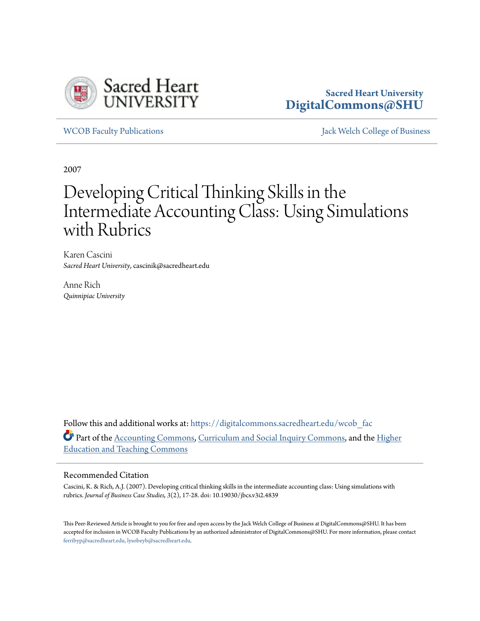

# **Sacred Heart University [DigitalCommons@SHU](https://digitalcommons.sacredheart.edu?utm_source=digitalcommons.sacredheart.edu%2Fwcob_fac%2F119&utm_medium=PDF&utm_campaign=PDFCoverPages)**

[WCOB Faculty Publications](https://digitalcommons.sacredheart.edu/wcob_fac?utm_source=digitalcommons.sacredheart.edu%2Fwcob_fac%2F119&utm_medium=PDF&utm_campaign=PDFCoverPages) [Jack Welch College of Business](https://digitalcommons.sacredheart.edu/wcob?utm_source=digitalcommons.sacredheart.edu%2Fwcob_fac%2F119&utm_medium=PDF&utm_campaign=PDFCoverPages)

2007

# Developing Critical Thinking Skills in the Intermediate Accounting Class: Using Simulations with Rubrics

Karen Cascini *Sacred Heart University*, cascinik@sacredheart.edu

Anne Rich *Quinnipiac University*

Follow this and additional works at: [https://digitalcommons.sacredheart.edu/wcob\\_fac](https://digitalcommons.sacredheart.edu/wcob_fac?utm_source=digitalcommons.sacredheart.edu%2Fwcob_fac%2F119&utm_medium=PDF&utm_campaign=PDFCoverPages) Part of the [Accounting Commons](http://network.bepress.com/hgg/discipline/625?utm_source=digitalcommons.sacredheart.edu%2Fwcob_fac%2F119&utm_medium=PDF&utm_campaign=PDFCoverPages), [Curriculum and Social Inquiry Commons](http://network.bepress.com/hgg/discipline/1038?utm_source=digitalcommons.sacredheart.edu%2Fwcob_fac%2F119&utm_medium=PDF&utm_campaign=PDFCoverPages), and the [Higher](http://network.bepress.com/hgg/discipline/806?utm_source=digitalcommons.sacredheart.edu%2Fwcob_fac%2F119&utm_medium=PDF&utm_campaign=PDFCoverPages) [Education and Teaching Commons](http://network.bepress.com/hgg/discipline/806?utm_source=digitalcommons.sacredheart.edu%2Fwcob_fac%2F119&utm_medium=PDF&utm_campaign=PDFCoverPages)

# Recommended Citation

Cascini, K. & Rich, A.J. (2007). Developing critical thinking skills in the intermediate accounting class: Using simulations with rubrics. *Journal of Business Case Studies, 3*(2), 17-28. doi: 10.19030/jbcs.v3i2.4839

This Peer-Reviewed Article is brought to you for free and open access by the Jack Welch College of Business at DigitalCommons@SHU. It has been accepted for inclusion in WCOB Faculty Publications by an authorized administrator of DigitalCommons@SHU. For more information, please contact [ferribyp@sacredheart.edu, lysobeyb@sacredheart.edu.](mailto:ferribyp@sacredheart.edu,%20lysobeyb@sacredheart.edu)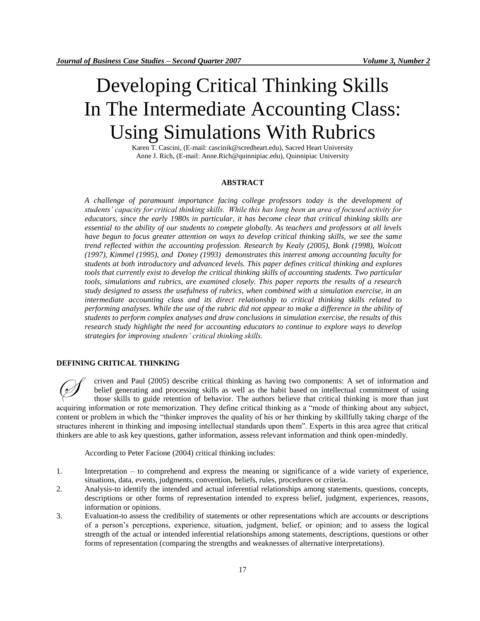# Developing Critical Thinking Skills In The Intermediate Accounting Class: Using Simulations With Rubrics

Karen T. Cascini, (E-mail: cascinik@scredheart.edu), Sacred Heart University Anne J. Rich, (E-mail: Anne.Rich@quinnipiac.edu), Quinnipiac University

# **ABSTRACT**

*A challenge of paramount importance facing college professors today is the development of students' capacity for critical thinking skills. While this has long been an area of focused activity for educators, since the early 1980s in particular, it has become clear that critical thinking skills are essential to the ability of our students to compete globally. As teachers and professors at all levels have begun to focus greater attention on ways to develop critical thinking skills, we see the same trend reflected within the accounting profession. Research by Kealy (2005), Bonk (1998), Wolcott (1997), Kimmel (1995), and Doney (1993) demonstrates this interest among accounting faculty for students at both introductory and advanced levels. This paper defines critical thinking and explores tools that currently exist to develop the critical thinking skills of accounting students. Two particular tools, simulations and rubrics, are examined closely. This paper reports the results of a research study designed to assess the usefulness of rubrics, when combined with a simulation exercise, in an intermediate accounting class and its direct relationship to critical thinking skills related to performing analyses. While the use of the rubric did not appear to make a difference in the ability of students to perform complex analyses and draw conclusions in simulation exercise, the results of this research study highlight the need for accounting educators to continue to explore ways to develop strategies for improving students' critical thinking skills.*

# **DEFINING CRITICAL THINKING**

criven and Paul (2005) describe critical thinking as having two components: A set of information and belief generating and processing skills as well as the habit based on intellectual commitment of using those skills to guide retention of behavior. The authors believe that critical thinking is more than just acquiring information or rote memorization. They define critical thinking as a "mode of thinking about any subject, content or problem in which the "thinker improves the quality of his or her thinking by skillfully taking charge of the structures inherent in thinking and imposing intellectual standards upon them". Experts in this area agree that critical thinkers are able to ask key questions, gather information, assess relevant information and think open-mindedly.  $\oslash$ 

According to Peter Facione (2004) critical thinking includes:

- 1. Interpretation to comprehend and express the meaning or significance of a wide variety of experience, situations, data, events, judgments, convention, beliefs, rules, procedures or criteria.
- 2. Analysis-to identify the intended and actual inferential relationships among statements, questions, concepts, descriptions or other forms of representation intended to express belief, judgment, experiences, reasons, information or opinions.
- 3. Evaluation-to assess the credibility of statements or other representations which are accounts or descriptions of a person's perceptions, experience, situation, judgment, belief, or opinion; and to assess the logical strength of the actual or intended inferential relationships among statements, descriptions, questions or other forms of representation (comparing the strengths and weaknesses of alternative interpretations).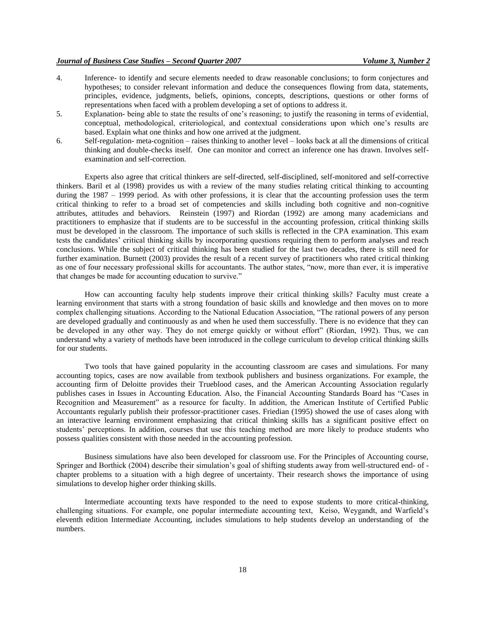- 4. Inference- to identify and secure elements needed to draw reasonable conclusions; to form conjectures and hypotheses; to consider relevant information and deduce the consequences flowing from data, statements, principles, evidence, judgments, beliefs, opinions, concepts, descriptions, questions or other forms of representations when faced with a problem developing a set of options to address it.
- 5. Explanation- being able to state the results of one's reasoning; to justify the reasoning in terms of evidential, conceptual, methodological, criteriological, and contextual considerations upon which one's results are based. Explain what one thinks and how one arrived at the judgment.
- 6. Self-regulation- meta-cognition raises thinking to another level looks back at all the dimensions of critical thinking and double-checks itself. One can monitor and correct an inference one has drawn. Involves selfexamination and self-correction.

Experts also agree that critical thinkers are self-directed, self-disciplined, self-monitored and self-corrective thinkers. Baril et al (1998) provides us with a review of the many studies relating critical thinking to accounting during the 1987 – 1999 period. As with other professions, it is clear that the accounting profession uses the term critical thinking to refer to a broad set of competencies and skills including both cognitive and non-cognitive attributes, attitudes and behaviors. Reinstein (1997) and Riordan (1992) are among many academicians and practitioners to emphasize that if students are to be successful in the accounting profession, critical thinking skills must be developed in the classroom. The importance of such skills is reflected in the CPA examination. This exam tests the candidates' critical thinking skills by incorporating questions requiring them to perform analyses and reach conclusions. While the subject of critical thinking has been studied for the last two decades, there is still need for further examination. Burnett (2003) provides the result of a recent survey of practitioners who rated critical thinking as one of four necessary professional skills for accountants. The author states, "now, more than ever, it is imperative that changes be made for accounting education to survive."

How can accounting faculty help students improve their critical thinking skills? Faculty must create a learning environment that starts with a strong foundation of basic skills and knowledge and then moves on to more complex challenging situations. According to the National Education Association, "The rational powers of any person are developed gradually and continuously as and when he used them successfully. There is no evidence that they can be developed in any other way. They do not emerge quickly or without effort" (Riordan, 1992). Thus, we can understand why a variety of methods have been introduced in the college curriculum to develop critical thinking skills for our students.

Two tools that have gained popularity in the accounting classroom are cases and simulations. For many accounting topics, cases are now available from textbook publishers and business organizations. For example, the accounting firm of Deloitte provides their Trueblood cases, and the American Accounting Association regularly publishes cases in Issues in Accounting Education. Also, the Financial Accounting Standards Board has "Cases in Recognition and Measurement" as a resource for faculty. In addition, the American Institute of Certified Public Accountants regularly publish their professor-practitioner cases. Friedian (1995) showed the use of cases along with an interactive learning environment emphasizing that critical thinking skills has a significant positive effect on students' perceptions. In addition, courses that use this teaching method are more likely to produce students who possess qualities consistent with those needed in the accounting profession.

Business simulations have also been developed for classroom use. For the Principles of Accounting course, Springer and Borthick (2004) describe their simulation's goal of shifting students away from well-structured end- of chapter problems to a situation with a high degree of uncertainty. Their research shows the importance of using simulations to develop higher order thinking skills.

Intermediate accounting texts have responded to the need to expose students to more critical-thinking, challenging situations. For example, one popular intermediate accounting text, Keiso, Weygandt, and Warfield's eleventh edition Intermediate Accounting, includes simulations to help students develop an understanding of the numbers.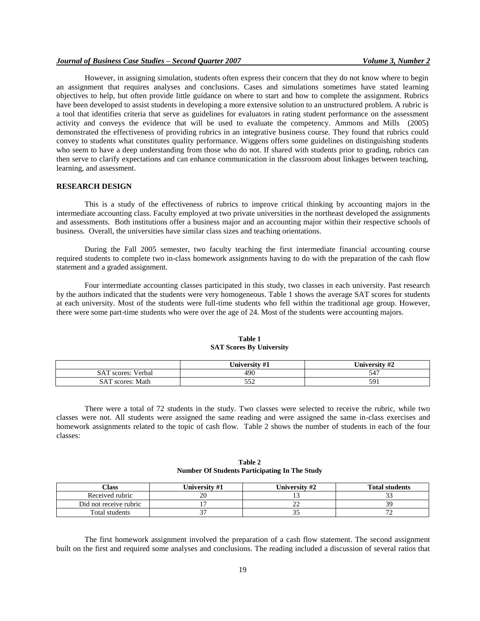# *Journal of Business Case Studies – Second Quarter 2007 Volume 3, Number 2*

However, in assigning simulation, students often express their concern that they do not know where to begin an assignment that requires analyses and conclusions. Cases and simulations sometimes have stated learning objectives to help, but often provide little guidance on where to start and how to complete the assignment. Rubrics have been developed to assist students in developing a more extensive solution to an unstructured problem. A rubric is a tool that identifies criteria that serve as guidelines for evaluators in rating student performance on the assessment activity and conveys the evidence that will be used to evaluate the competency. Ammons and Mills (2005) demonstrated the effectiveness of providing rubrics in an integrative business course. They found that rubrics could convey to students what constitutes quality performance. Wiggens offers some guidelines on distinguishing students who seem to have a deep understanding from those who do not. If shared with students prior to grading, rubrics can then serve to clarify expectations and can enhance communication in the classroom about linkages between teaching, learning, and assessment.

### **RESEARCH DESIGN**

This is a study of the effectiveness of rubrics to improve critical thinking by accounting majors in the intermediate accounting class. Faculty employed at two private universities in the northeast developed the assignments and assessments. Both institutions offer a business major and an accounting major within their respective schools of business. Overall, the universities have similar class sizes and teaching orientations.

During the Fall 2005 semester, two faculty teaching the first intermediate financial accounting course required students to complete two in-class homework assignments having to do with the preparation of the cash flow statement and a graded assignment.

Four intermediate accounting classes participated in this study, two classes in each university. Past research by the authors indicated that the students were very homogeneous. Table 1 shows the average SAT scores for students at each university. Most of the students were full-time students who fell within the traditional age group. However, there were some part-time students who were over the age of 24. Most of the students were accounting majors.

|                              | University #1 | University #2 |
|------------------------------|---------------|---------------|
| <b>SAT</b><br>scores: Verbal | 490           | $54^\circ$    |
| SAT<br>' scores: Math        | 550<br>⊿ںر    | ٢Ο.           |

#### **Table 1 SAT Scores By University**

There were a total of 72 students in the study. Two classes were selected to receive the rubric, while two classes were not. All students were assigned the same reading and were assigned the same in-class exercises and homework assignments related to the topic of cash flow. Table 2 shows the number of students in each of the four classes:

# **Table 2 Number Of Students Participating In The Study**

| Class                  | University #1 | University #2 | <b>Total students</b> |
|------------------------|---------------|---------------|-----------------------|
| Received rubric        |               |               |                       |
| Did not receive rubric |               | ∸             |                       |
| Total students         |               | ر. ر          |                       |

The first homework assignment involved the preparation of a cash flow statement. The second assignment built on the first and required some analyses and conclusions. The reading included a discussion of several ratios that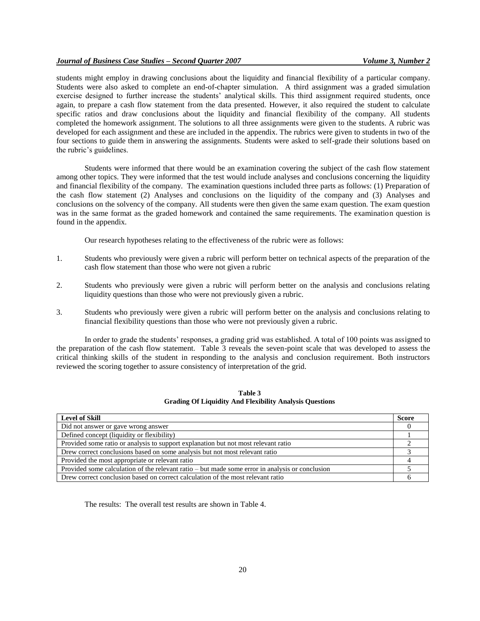students might employ in drawing conclusions about the liquidity and financial flexibility of a particular company. Students were also asked to complete an end-of-chapter simulation. A third assignment was a graded simulation exercise designed to further increase the students' analytical skills. This third assignment required students, once again, to prepare a cash flow statement from the data presented. However, it also required the student to calculate specific ratios and draw conclusions about the liquidity and financial flexibility of the company. All students completed the homework assignment. The solutions to all three assignments were given to the students. A rubric was developed for each assignment and these are included in the appendix. The rubrics were given to students in two of the four sections to guide them in answering the assignments. Students were asked to self-grade their solutions based on the rubric's guidelines.

Students were informed that there would be an examination covering the subject of the cash flow statement among other topics. They were informed that the test would include analyses and conclusions concerning the liquidity and financial flexibility of the company. The examination questions included three parts as follows: (1) Preparation of the cash flow statement (2) Analyses and conclusions on the liquidity of the company and (3) Analyses and conclusions on the solvency of the company. All students were then given the same exam question. The exam question was in the same format as the graded homework and contained the same requirements. The examination question is found in the appendix.

Our research hypotheses relating to the effectiveness of the rubric were as follows:

- 1. Students who previously were given a rubric will perform better on technical aspects of the preparation of the cash flow statement than those who were not given a rubric
- 2. Students who previously were given a rubric will perform better on the analysis and conclusions relating liquidity questions than those who were not previously given a rubric.
- 3. Students who previously were given a rubric will perform better on the analysis and conclusions relating to financial flexibility questions than those who were not previously given a rubric.

In order to grade the students' responses, a grading grid was established. A total of 100 points was assigned to the preparation of the cash flow statement. Table 3 reveals the seven-point scale that was developed to assess the critical thinking skills of the student in responding to the analysis and conclusion requirement. Both instructors reviewed the scoring together to assure consistency of interpretation of the grid.

**Table 3 Grading Of Liquidity And Flexibility Analysis Questions**

| <b>Level of Skill</b>                                                                           | <b>Score</b> |
|-------------------------------------------------------------------------------------------------|--------------|
| Did not answer or gave wrong answer                                                             |              |
| Defined concept (liquidity or flexibility)                                                      |              |
| Provided some ratio or analysis to support explanation but not most relevant ratio              |              |
| Drew correct conclusions based on some analysis but not most relevant ratio                     |              |
| Provided the most appropriate or relevant ratio                                                 |              |
| Provided some calculation of the relevant ratio – but made some error in analysis or conclusion |              |
| Drew correct conclusion based on correct calculation of the most relevant ratio                 |              |

The results: The overall test results are shown in Table 4.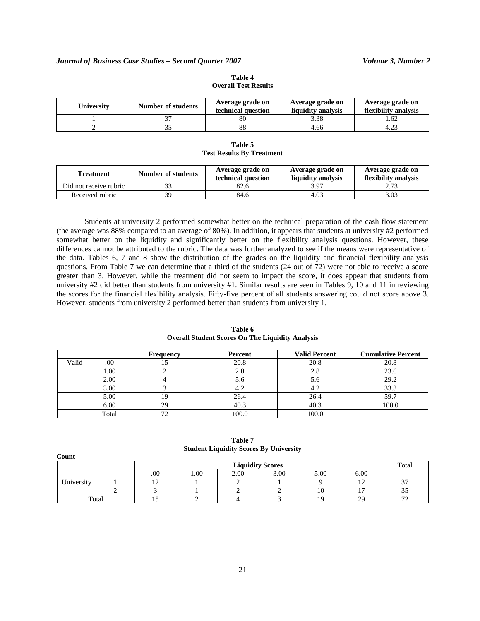| Universitv | <b>Number of students</b> | Average grade on<br>technical question | Average grade on<br>liquidity analysis | Average grade on<br>flexibility analysis |  |
|------------|---------------------------|----------------------------------------|----------------------------------------|------------------------------------------|--|
|            |                           | 80                                     | 3.38                                   | .62                                      |  |
|            |                           | 88                                     | 4.66                                   |                                          |  |

**Table 4 Overall Test Results**

**Table 5 Test Results By Treatment**

| Treatment              | Number of students | Average grade on<br>technical question | Average grade on<br>liquidity analysis | Average grade on<br>flexibility analysis |  |
|------------------------|--------------------|----------------------------------------|----------------------------------------|------------------------------------------|--|
| Did not receive rubric | າາ                 | 82.6                                   | 3.97                                   | 2.73                                     |  |
| Received rubric        | 39                 | 84.6                                   | 4.03                                   | 3.03                                     |  |

Students at university 2 performed somewhat better on the technical preparation of the cash flow statement (the average was 88% compared to an average of 80%). In addition, it appears that students at university #2 performed somewhat better on the liquidity and significantly better on the flexibility analysis questions. However, these differences cannot be attributed to the rubric. The data was further analyzed to see if the means were representative of the data. Tables 6, 7 and 8 show the distribution of the grades on the liquidity and financial flexibility analysis questions. From Table 7 we can determine that a third of the students (24 out of 72) were not able to receive a score greater than 3. However, while the treatment did not seem to impact the score, it does appear that students from university #2 did better than students from university #1. Similar results are seen in Tables 9, 10 and 11 in reviewing the scores for the financial flexibility analysis. Fifty-five percent of all students answering could not score above 3. However, students from university 2 performed better than students from university 1.

|       |       | Frequency | Percent | <b>Valid Percent</b> | <b>Cumulative Percent</b> |
|-------|-------|-----------|---------|----------------------|---------------------------|
| Valid | .00   |           | 20.8    | 20.8                 | 20.8                      |
|       | 1.00  |           | 2.8     | 2.8                  | 23.6                      |
|       | 2.00  |           | J.O     | 5.6                  | 29.2                      |
|       | 3.00  |           |         | 4.2                  | 33.3                      |
|       | 5.00  |           | 26.4    | 26.4                 | 59.7                      |
|       | 6.00  | 29        | 40.3    | 40.3                 | 100.0                     |
|       | Total |           | 100.0   | 100.0                |                           |

**Table 6 Overall Student Scores On The Liquidity Analysis**

| Count      |       |     |                         | $\sim$ |      |                |            |                          |
|------------|-------|-----|-------------------------|--------|------|----------------|------------|--------------------------|
|            |       |     | <b>Liquidity Scores</b> |        |      |                |            | Total                    |
|            |       | .00 | 00.1                    | 2.00   | 3.00 | 5.00           | 6.00       |                          |
| University |       |     |                         |        |      |                | . .        | $\sim$                   |
|            |       |     |                         |        |      | 1 U            |            | ر ر                      |
|            | Total |     |                         |        |      | 1 <sub>0</sub> | $\gamma$ q | $\overline{\phantom{a}}$ |

**Table 7 Student Liquidity Scores By University**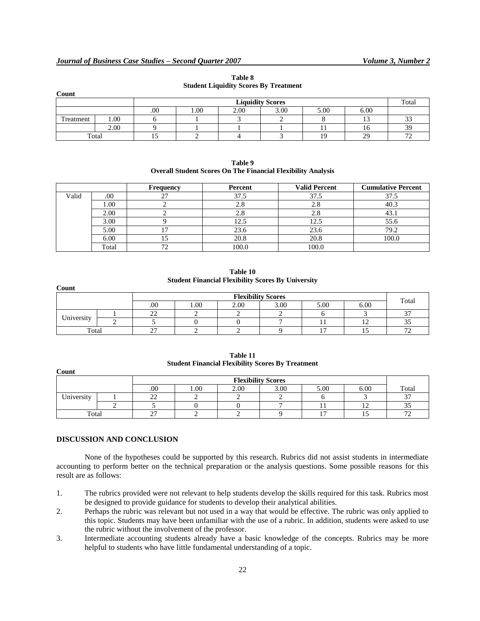| Count     |      |     |                                      | ____ | ___ |                |       |                          |
|-----------|------|-----|--------------------------------------|------|-----|----------------|-------|--------------------------|
|           |      |     | <b>Liquidity Scores</b>              |      |     |                | Total |                          |
|           |      | .00 | 00.1<br>2.00<br>3.00<br>6.00<br>5.00 |      |     |                |       |                          |
| Treatment | 00.1 |     |                                      |      |     |                |       | $\sim$                   |
|           | 2.00 |     |                                      |      |     |                | 10    | 30<br>J,                 |
| Total     |      |     |                                      |      |     | 1 <sub>0</sub> | 29    | $\overline{\phantom{a}}$ |

**Table 8 Student Liquidity Scores By Treatment**

| Table 9                                                             |
|---------------------------------------------------------------------|
| <b>Overall Student Scores On The Financial Flexibility Analysis</b> |

|       |       | Frequency    | Percent | <b>Valid Percent</b> | <b>Cumulative Percent</b> |
|-------|-------|--------------|---------|----------------------|---------------------------|
| Valid | .00   |              | 37.5    | 37.5                 | 37.5                      |
|       | 1.00  |              | 2.8     | 2.8                  | 40.3                      |
|       | 2.00  |              | 2.8     | 2.8                  |                           |
|       | 3.00  |              | 12.5    | 12.5                 | 55.6                      |
|       | 5.00  |              | 23.6    | 23.6                 | 79.2                      |
|       | 6.00  |              | 20.8    | 20.8                 | 100.0                     |
|       | Total | $\mathbf{a}$ | 100.0   | 100.0                |                           |

**Table 10 Student Financial Flexibility Scores By University**

| Count      |  |                           |          |      |      |                |       |              |
|------------|--|---------------------------|----------|------|------|----------------|-------|--------------|
|            |  | <b>Flexibility Scores</b> |          |      |      |                | Total |              |
|            |  | .00.                      | $1.00\,$ | 2.00 | 3.00 | 5.00           | 6.00  |              |
|            |  | $\sim$<br><u>__</u>       |          |      |      |                |       | $\sim$       |
| University |  |                           |          |      |      |                |       | ر د          |
| Total      |  | $\sim$<br>~               |          |      |      | $\overline{ }$ |       | $\mathbf{a}$ |

| Table 11                                                 |
|----------------------------------------------------------|
| <b>Student Financial Flexibility Scores By Treatment</b> |

|            |  | <b>Flexibility Scores</b> |      |      |      |      |      |                |
|------------|--|---------------------------|------|------|------|------|------|----------------|
|            |  | .00                       | 1.00 | 2.00 | 3.00 | 5.00 | 6.00 | Total          |
| University |  | $\sim$<br><u>_</u>        |      |      |      |      |      | $\sim$         |
|            |  |                           |      |      |      |      | ∸    | ت ب            |
| Total      |  | $\sim$<br>∼               |      |      |      | -    |      | $\overline{a}$ |

# **DISCUSSION AND CONCLUSION**

**Count**

None of the hypotheses could be supported by this research. Rubrics did not assist students in intermediate accounting to perform better on the technical preparation or the analysis questions. Some possible reasons for this result are as follows:

- 1. The rubrics provided were not relevant to help students develop the skills required for this task. Rubrics most be designed to provide guidance for students to develop their analytical abilities.
- 2. Perhaps the rubric was relevant but not used in a way that would be effective. The rubric was only applied to this topic. Students may have been unfamiliar with the use of a rubric. In addition, students were asked to use the rubric without the involvement of the professor.
- 3. Intermediate accounting students already have a basic knowledge of the concepts. Rubrics may be more helpful to students who have little fundamental understanding of a topic.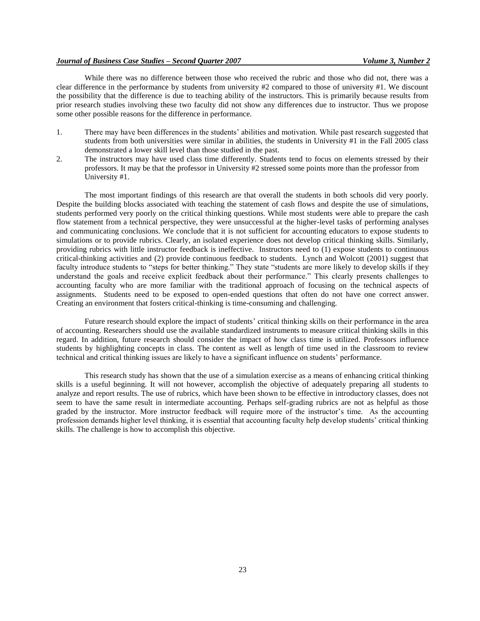## *Journal of Business Case Studies – Second Quarter 2007 Volume 3, Number 2*

While there was no difference between those who received the rubric and those who did not, there was a clear difference in the performance by students from university #2 compared to those of university #1. We discount the possibility that the difference is due to teaching ability of the instructors. This is primarily because results from prior research studies involving these two faculty did not show any differences due to instructor. Thus we propose some other possible reasons for the difference in performance.

- 1. There may have been differences in the students' abilities and motivation. While past research suggested that students from both universities were similar in abilities, the students in University #1 in the Fall 2005 class demonstrated a lower skill level than those studied in the past.
- 2. The instructors may have used class time differently. Students tend to focus on elements stressed by their professors. It may be that the professor in University #2 stressed some points more than the professor from University #1.

The most important findings of this research are that overall the students in both schools did very poorly. Despite the building blocks associated with teaching the statement of cash flows and despite the use of simulations, students performed very poorly on the critical thinking questions. While most students were able to prepare the cash flow statement from a technical perspective, they were unsuccessful at the higher-level tasks of performing analyses and communicating conclusions. We conclude that it is not sufficient for accounting educators to expose students to simulations or to provide rubrics. Clearly, an isolated experience does not develop critical thinking skills. Similarly, providing rubrics with little instructor feedback is ineffective. Instructors need to (1) expose students to continuous critical-thinking activities and (2) provide continuous feedback to students. Lynch and Wolcott (2001) suggest that faculty introduce students to "steps for better thinking." They state "students are more likely to develop skills if they understand the goals and receive explicit feedback about their performance." This clearly presents challenges to accounting faculty who are more familiar with the traditional approach of focusing on the technical aspects of assignments. Students need to be exposed to open-ended questions that often do not have one correct answer. Creating an environment that fosters critical-thinking is time-consuming and challenging.

Future research should explore the impact of students' critical thinking skills on their performance in the area of accounting. Researchers should use the available standardized instruments to measure critical thinking skills in this regard. In addition, future research should consider the impact of how class time is utilized. Professors influence students by highlighting concepts in class. The content as well as length of time used in the classroom to review technical and critical thinking issues are likely to have a significant influence on students' performance.

This research study has shown that the use of a simulation exercise as a means of enhancing critical thinking skills is a useful beginning. It will not however, accomplish the objective of adequately preparing all students to analyze and report results. The use of rubrics, which have been shown to be effective in introductory classes, does not seem to have the same result in intermediate accounting. Perhaps self-grading rubrics are not as helpful as those graded by the instructor. More instructor feedback will require more of the instructor's time. As the accounting profession demands higher level thinking, it is essential that accounting faculty help develop students' critical thinking skills. The challenge is how to accomplish this objective.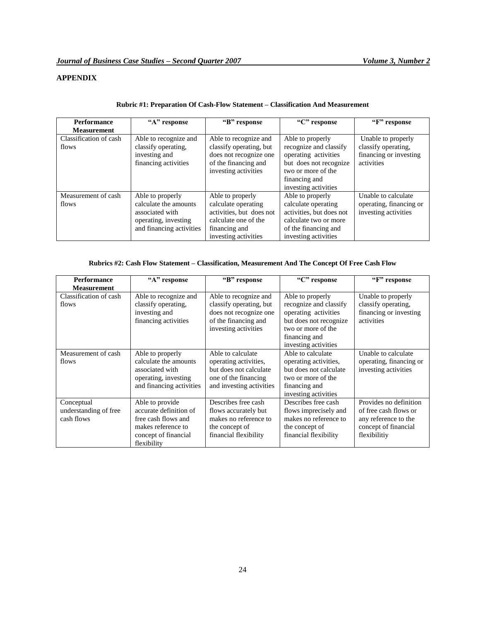# **APPENDIX**

| <b>Performance</b>              | "A" response                                                                                                     | "B" response                                                                                                                         | "C" response                                                                                                                                                | "F" response                                                                      |
|---------------------------------|------------------------------------------------------------------------------------------------------------------|--------------------------------------------------------------------------------------------------------------------------------------|-------------------------------------------------------------------------------------------------------------------------------------------------------------|-----------------------------------------------------------------------------------|
| <b>Measurement</b>              |                                                                                                                  |                                                                                                                                      |                                                                                                                                                             |                                                                                   |
| Classification of cash<br>flows | Able to recognize and<br>classify operating,<br>investing and<br>financing activities                            | Able to recognize and<br>classify operating, but<br>does not recognize one<br>of the financing and<br>investing activities           | Able to properly<br>recognize and classify<br>operating activities<br>but does not recognize<br>two or more of the<br>financing and<br>investing activities | Unable to properly<br>classify operating,<br>financing or investing<br>activities |
| Measurement of cash<br>flows    | Able to properly<br>calculate the amounts<br>associated with<br>operating, investing<br>and financing activities | Able to properly<br>calculate operating<br>activities, but does not<br>calculate one of the<br>financing and<br>investing activities | Able to properly<br>calculate operating<br>activities, but does not<br>calculate two or more<br>of the financing and<br>investing activities                | Unable to calculate<br>operating, financing or<br>investing activities            |

# **Rubric #1: Preparation Of Cash-Flow Statement – Classification And Measurement**

# **Rubrics #2: Cash Flow Statement – Classification, Measurement And The Concept Of Free Cash Flow**

| <b>Performance</b>     | "A" response             | "B" response             | "C" response           | "F" response            |
|------------------------|--------------------------|--------------------------|------------------------|-------------------------|
| <b>Measurement</b>     |                          |                          |                        |                         |
| Classification of cash | Able to recognize and    | Able to recognize and    | Able to properly       | Unable to properly      |
| flows                  | classify operating,      | classify operating, but  | recognize and classify | classify operating,     |
|                        | investing and            | does not recognize one   | operating activities   | financing or investing  |
|                        | financing activities     | of the financing and     | but does not recognize | activities              |
|                        |                          | investing activities     | two or more of the     |                         |
|                        |                          |                          | financing and          |                         |
|                        |                          |                          | investing activities   |                         |
| Measurement of cash    | Able to properly         | Able to calculate        | Able to calculate      | Unable to calculate     |
| flows                  | calculate the amounts    | operating activities,    | operating activities,  | operating, financing or |
|                        | associated with          | but does not calculate   | but does not calculate | investing activities    |
|                        | operating, investing     | one of the financing     | two or more of the     |                         |
|                        | and financing activities | and investing activities | financing and          |                         |
|                        |                          |                          | investing activities   |                         |
| Conceptual             | Able to provide          | Describes free cash      | Describes free cash    | Provides no definition  |
| understanding of free  | accurate definition of   | flows accurately but     | flows imprecisely and  | of free cash flows or   |
| cash flows             | free cash flows and      | makes no reference to    | makes no reference to  | any reference to the    |
|                        | makes reference to       | the concept of           | the concept of         | concept of financial    |
|                        | concept of financial     | financial flexibility    | financial flexibility  | flexibilitiy            |
|                        | flexibility              |                          |                        |                         |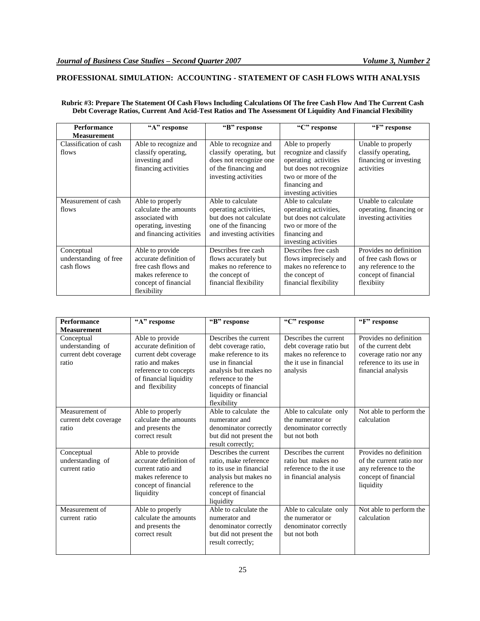# **PROFESSIONAL SIMULATION: ACCOUNTING - STATEMENT OF CASH FLOWS WITH ANALYSIS**

# **Rubric #3: Prepare The Statement Of Cash Flows Including Calculations Of The free Cash Flow And The Current Cash Debt Coverage Ratios, Current And Acid-Test Ratios and The Assessment Of Liquidity And Financial Flexibility**

| <b>Performance</b>                                | "A" response                                                                                                                  | "B" response                                                                                                               | "C" response                                                                                                                                                | "F" response                                                                                                  |
|---------------------------------------------------|-------------------------------------------------------------------------------------------------------------------------------|----------------------------------------------------------------------------------------------------------------------------|-------------------------------------------------------------------------------------------------------------------------------------------------------------|---------------------------------------------------------------------------------------------------------------|
| <b>Measurement</b>                                |                                                                                                                               |                                                                                                                            |                                                                                                                                                             |                                                                                                               |
| Classification of cash<br>flows                   | Able to recognize and<br>classify operating,<br>investing and<br>financing activities                                         | Able to recognize and<br>classify operating, but<br>does not recognize one<br>of the financing and<br>investing activities | Able to properly<br>recognize and classify<br>operating activities<br>but does not recognize<br>two or more of the<br>financing and<br>investing activities | Unable to properly<br>classify operating,<br>financing or investing<br>activities                             |
| Measurement of cash<br>flows                      | Able to properly<br>calculate the amounts<br>associated with<br>operating, investing<br>and financing activities              | Able to calculate<br>operating activities,<br>but does not calculate<br>one of the financing<br>and investing activities   | Able to calculate<br>operating activities,<br>but does not calculate<br>two or more of the<br>financing and<br>investing activities                         | Unable to calculate<br>operating, financing or<br>investing activities                                        |
| Conceptual<br>understanding of free<br>cash flows | Able to provide<br>accurate definition of<br>free cash flows and<br>makes reference to<br>concept of financial<br>flexibility | Describes free cash<br>flows accurately but<br>makes no reference to<br>the concept of<br>financial flexibility            | Describes free cash<br>flows imprecisely and<br>makes no reference to<br>the concept of<br>financial flexibility                                            | Provides no definition<br>of free cash flows or<br>any reference to the<br>concept of financial<br>flexibiity |

| <b>Performance</b><br><b>Measurement</b>                         | "A" response                                                                                                                                                | "B" response                                                                                                                                                                                              | "C" response                                                                                                     | "F" response                                                                                                             |
|------------------------------------------------------------------|-------------------------------------------------------------------------------------------------------------------------------------------------------------|-----------------------------------------------------------------------------------------------------------------------------------------------------------------------------------------------------------|------------------------------------------------------------------------------------------------------------------|--------------------------------------------------------------------------------------------------------------------------|
| Conceptual<br>understanding of<br>current debt coverage<br>ratio | Able to provide<br>accurate definition of<br>current debt coverage<br>ratio and makes<br>reference to concepts<br>of financial liquidity<br>and flexibility | Describes the current<br>debt coverage ratio,<br>make reference to its<br>use in financial<br>analysis but makes no<br>reference to the<br>concepts of financial<br>liquidity or financial<br>flexibility | Describes the current<br>debt coverage ratio but<br>makes no reference to<br>the it use in financial<br>analysis | Provides no definition<br>of the current debt<br>coverage ratio nor any<br>reference to its use in<br>financial analysis |
| Measurement of<br>current debt coverage<br>ratio                 | Able to properly<br>calculate the amounts<br>and presents the<br>correct result                                                                             | Able to calculate the<br>numerator and<br>denominator correctly<br>but did not present the<br>result correctly;                                                                                           | Able to calculate only<br>the numerator or<br>denominator correctly<br>but not both                              | Not able to perform the<br>calculation                                                                                   |
| Conceptual<br>understanding of<br>current ratio                  | Able to provide<br>accurate definition of<br>current ratio and<br>makes reference to<br>concept of financial<br>liquidity                                   | Describes the current<br>ratio, make reference<br>to its use in financial<br>analysis but makes no<br>reference to the<br>concept of financial<br>liquidity                                               | Describes the current<br>ratio but makes no<br>reference to the it use<br>in financial analysis                  | Provides no definition<br>of the current ratio nor<br>any reference to the<br>concept of financial<br>liquidity          |
| Measurement of<br>current ratio                                  | Able to properly<br>calculate the amounts<br>and presents the<br>correct result                                                                             | Able to calculate the<br>numerator and<br>denominator correctly<br>but did not present the<br>result correctly;                                                                                           | Able to calculate only<br>the numerator or<br>denominator correctly<br>but not both                              | Not able to perform the<br>calculation                                                                                   |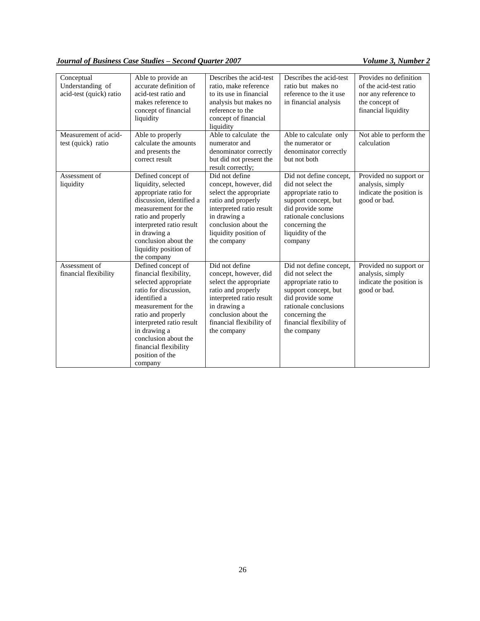# *Journal of Business Case Studies – Second Quarter 2007* Volume 3, Number 2

| Conceptual<br>Understanding of<br>acid-test (quick) ratio | Able to provide an<br>accurate definition of<br>acid-test ratio and<br>makes reference to<br>concept of financial<br>liquidity | Describes the acid-test<br>ratio, make reference<br>to its use in financial<br>analysis but makes no<br>reference to the<br>concept of financial<br>liquidity | Describes the acid-test<br>ratio but makes no<br>reference to the it use<br>in financial analysis | Provides no definition<br>of the acid-test ratio<br>nor any reference to<br>the concept of<br>financial liquidity |
|-----------------------------------------------------------|--------------------------------------------------------------------------------------------------------------------------------|---------------------------------------------------------------------------------------------------------------------------------------------------------------|---------------------------------------------------------------------------------------------------|-------------------------------------------------------------------------------------------------------------------|
| Measurement of acid-                                      | Able to properly                                                                                                               | Able to calculate the                                                                                                                                         | Able to calculate only                                                                            | Not able to perform the                                                                                           |
| test (quick) ratio                                        | calculate the amounts                                                                                                          | numerator and                                                                                                                                                 | the numerator or                                                                                  | calculation                                                                                                       |
|                                                           | and presents the<br>correct result                                                                                             | denominator correctly<br>but did not present the                                                                                                              | denominator correctly<br>but not both                                                             |                                                                                                                   |
|                                                           |                                                                                                                                | result correctly;                                                                                                                                             |                                                                                                   |                                                                                                                   |
| Assessment of                                             | Defined concept of                                                                                                             | Did not define                                                                                                                                                | Did not define concept,                                                                           | Provided no support or                                                                                            |
| liquidity                                                 | liquidity, selected                                                                                                            | concept, however, did                                                                                                                                         | did not select the                                                                                | analysis, simply                                                                                                  |
|                                                           | appropriate ratio for<br>discussion, identified a                                                                              | select the appropriate                                                                                                                                        | appropriate ratio to                                                                              | indicate the position is                                                                                          |
|                                                           | measurement for the                                                                                                            | ratio and properly<br>interpreted ratio result                                                                                                                | support concept, but<br>did provide some                                                          | good or bad.                                                                                                      |
|                                                           | ratio and properly                                                                                                             | in drawing a                                                                                                                                                  | rationale conclusions                                                                             |                                                                                                                   |
|                                                           | interpreted ratio result                                                                                                       | conclusion about the                                                                                                                                          | concerning the                                                                                    |                                                                                                                   |
|                                                           | in drawing a                                                                                                                   | liquidity position of                                                                                                                                         | liquidity of the                                                                                  |                                                                                                                   |
|                                                           | conclusion about the                                                                                                           | the company                                                                                                                                                   | company                                                                                           |                                                                                                                   |
|                                                           | liquidity position of                                                                                                          |                                                                                                                                                               |                                                                                                   |                                                                                                                   |
| Assessment of                                             | the company<br>Defined concept of                                                                                              | Did not define                                                                                                                                                | Did not define concept,                                                                           |                                                                                                                   |
| financial flexibility                                     | financial flexibility,                                                                                                         | concept, however, did                                                                                                                                         | did not select the                                                                                | Provided no support or<br>analysis, simply                                                                        |
|                                                           | selected appropriate                                                                                                           | select the appropriate                                                                                                                                        | appropriate ratio to                                                                              | indicate the position is                                                                                          |
|                                                           | ratio for discussion.                                                                                                          | ratio and properly                                                                                                                                            | support concept, but                                                                              | good or bad.                                                                                                      |
|                                                           | identified a                                                                                                                   | interpreted ratio result                                                                                                                                      | did provide some                                                                                  |                                                                                                                   |
|                                                           | measurement for the                                                                                                            | in drawing a                                                                                                                                                  | rationale conclusions                                                                             |                                                                                                                   |
|                                                           | ratio and properly                                                                                                             | conclusion about the                                                                                                                                          | concerning the                                                                                    |                                                                                                                   |
|                                                           | interpreted ratio result                                                                                                       | financial flexibility of                                                                                                                                      | financial flexibility of                                                                          |                                                                                                                   |
|                                                           | in drawing a<br>conclusion about the                                                                                           | the company                                                                                                                                                   | the company                                                                                       |                                                                                                                   |
|                                                           | financial flexibility                                                                                                          |                                                                                                                                                               |                                                                                                   |                                                                                                                   |
|                                                           | position of the                                                                                                                |                                                                                                                                                               |                                                                                                   |                                                                                                                   |
|                                                           | company                                                                                                                        |                                                                                                                                                               |                                                                                                   |                                                                                                                   |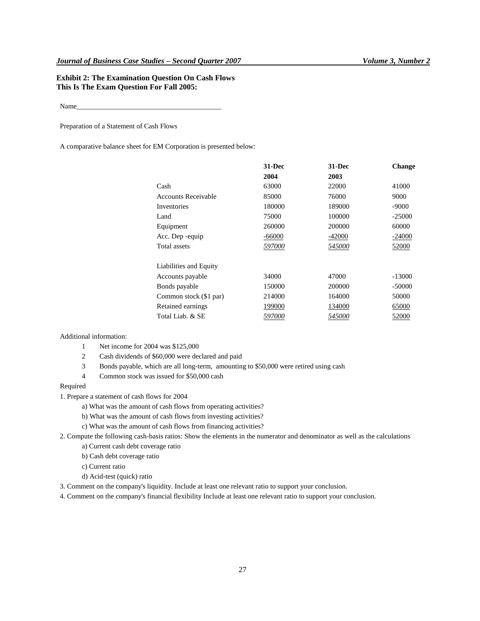# **Exhibit 2: The Examination Question On Cash Flows This Is The Exam Question For Fall 2005:**

Name\_\_\_\_\_\_\_\_\_\_\_\_\_\_\_\_\_\_\_\_\_\_\_\_\_\_\_\_\_\_\_\_\_\_\_\_\_\_\_\_\_

Preparation of a Statement of Cash Flows

A comparative balance sheet for EM Corporation is presented below:

|                            | $31 - Dec$    | $31 - Dec$    | <b>Change</b> |
|----------------------------|---------------|---------------|---------------|
|                            | 2004          | 2003          |               |
| Cash                       | 63000         | 22000         | 41000         |
| <b>Accounts Receivable</b> | 85000         | 76000         | 9000          |
| Inventories                | 180000        | 189000        | $-9000$       |
| Land                       | 75000         | 100000        | $-25000$      |
| Equipment                  | 260000        | 200000        | 60000         |
| Acc. Dep -equip            | $-66000$      | $-42000$      | $-24000$      |
| Total assets               | <i>597000</i> | 545000        | 52000         |
| Liabilities and Equity     |               |               |               |
| Accounts payable           | 34000         | 47000         | $-13000$      |
| Bonds payable              | 150000        | 200000        | -50000        |
| Common stock (\$1 par)     | 214000        | 164000        | 50000         |
| Retained earnings          | 199000        | 134000        | 65000         |
| Total Liab. & SE           | <i>597000</i> | <i>545000</i> | 52000         |
|                            |               |               |               |

Additional information:

- 1 Net income for 2004 was \$125,000
- 2 Cash dividends of \$60,000 were declared and paid
- 3 Bonds payable, which are all long-term, amounting to \$50,000 were retired using cash
- 4 Common stock was issued for \$50,000 cash

#### Required

1. Prepare a statement of cash flows for 2004

- a) What was the amount of cash flows from operating activities?
- b) What was the amount of cash flows from investing activities?
- c) What was the amount of cash flows from financing activities?

2. Compute the following cash-basis ratios: Show the elements in the numerator and denominator as well as the calculations a) Current cash debt coverage ratio

b) Cash debt coverage ratio

c) Current ratio

- d) Acid-test (quick) ratio
- 3. Comment on the company's liquidity. Include at least one relevant ratio to support your conclusion.

4. Comment on the company's financial flexibility Include at least one relevant ratio to support your conclusion.